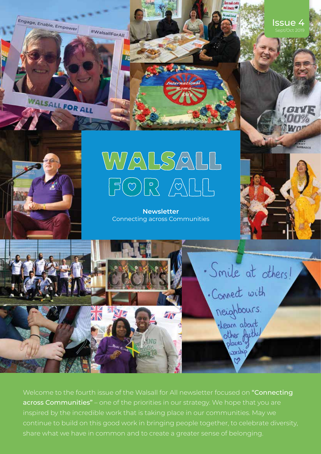Engage, Enable, Empower #WalsallForAll

WALSALL FOR ALL

Issue 4 Sept/Oct 2019



# WALSALL  $\boxed{\color{red} \beta \color{blue} \text{O} \color{red} \text{P} \color{blue} \text{O} \color{blue} \text{P} \color{blue} \text{O} \color{blue} \text{O} \color{blue} \text{O} \color{blue} \text{O} \color{blue} \text{O} \color{blue} \text{O} \color{blue} \text{O} \color{blue} \text{O} \color{blue} \text{O} \color{blue} \text{O} \color{blue} \text{O} \color{blue} \text{O} \color{blue} \text{O} \color{blue} \text{O} \color{blue} \text{O} \color{blue} \text{O} \color{blue} \text{O} \$

### **Newsletter** Connecting across Communities



· Smile at others!

. Connect with

neighbours.

· Learn about

other faith.

antanco

Welcome to the fourth issue of the Walsall for All newsletter focused on "Connecting" across Communities" – one of the priorities in our strategy. We hope that you are inspired by the incredible work that is taking place in our communities. May we continue to build on this good work in bringing people together, to celebrate diversity, share what we have in common and to create a greater sense of belonging.

ŽM

WNG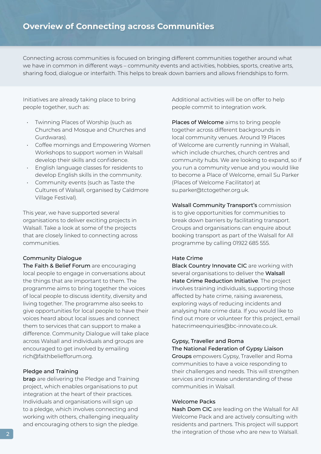Connecting across communities is focused on bringing different communities together around what we have in common in different ways – community events and activities, hobbies, sports, creative arts, sharing food, dialogue or interfaith. This helps to break down barriers and allows friendships to form.

Initiatives are already taking place to bring people together, such as:

- Twinning Places of Worship (such as Churches and Mosque and Churches and Gurdwaras). •
- Coffee mornings and Empowering Women Workshops to support women in Walsall develop their skills and confidence. •
- English language classes for residents to develop English skills in the community. •
- Community events (such as Taste the Cultures of Walsall, organised by Caldmore Village Festival).

This year, we have supported several organisations to deliver exciting projects in Walsall. Take a look at some of the projects that are closely linked to connecting across communities.

#### Community Dialogue

The Faith & Belief Forum are encouraging local people to engage in conversations about the things that are important to them. The programme aims to bring together the voices of local people to discuss identity, diversity and living together. The programme also seeks to give opportunities for local people to have their voices heard about local issues and connect them to services that can support to make a difference. Community Dialogue will take place across Walsall and individuals and groups are encouraged to get involved by emailing rich@faithbeliefforum.org.

#### Pledge and Training

**brap** are delivering the Pledge and Training project, which enables organisations to put integration at the heart of their practices. Individuals and organisations will sign up to a pledge, which involves connecting and working with others, challenging inequality and encouraging others to sign the pledge.

Additional activities will be on offer to help people commit to integration work.

Places of Welcome aims to bring people together across different backgrounds in local community venues. Around 19 Places of Welcome are currently running in Walsall, which include churches, church centres and community hubs. We are looking to expand, so if you run a community venue and you would like to become a Place of Welcome, email Su Parker (Places of Welcome Facilitator) at su.parker@tctogether.org.uk.

Walsall Community Transport's commission is to give opportunities for communities to break down barriers by facilitating transport. Groups and organisations can enquire about booking transport as part of the Walsall for All programme by calling 01922 685 555.

#### Hate Crime

Black Country Innovate CIC are working with several organisations to deliver the Walsall Hate Crime Reduction Initiative. The project involves training individuals, supporting those affected by hate crime, raising awareness, exploring ways of reducing incidents and analysing hate crime data. If you would like to find out more or volunteer for this project, email hatecrimeenquiries@bc-innovate.co.uk.

#### Gypsy, Traveller and Roma The National Federation of Gypsy Liaison

Groups empowers Gypsy, Traveller and Roma communities to have a voice responding to their challenges and needs. This will strengthen services and increase understanding of these communities in Walsall.

#### Welcome Packs

Nash Dom CIC are leading on the Walsall for All Welcome Pack and are actively consulting with residents and partners. This project will support the integration of those who are new to Walsall.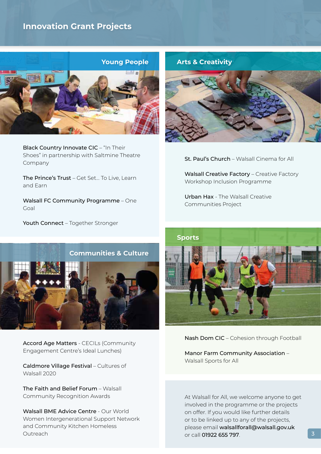# **Innovation Grant Projects**



Black Country Innovate CIC – "In Their Shoes" in partnership with Saltmine Theatre Company

The Prince's Trust – Get Set… To Live, Learn and Earn

Walsall FC Community Programme – One Goal

Youth Connect - Together Stronger



St. Paul's Church – Walsall Cinema for All

Walsall Creative Factory - Creative Factory Workshop Inclusion Programme

Urban Hax - The Walsall Creative Communities Project



Accord Age Matters - CECILs (Community Engagement Centre's Ideal Lunches)

Caldmore Village Festival – Cultures of Walsall 2020

The Faith and Belief Forum – Walsall Community Recognition Awards

Walsall BME Advice Centre - Our World Women Intergenerational Support Network and Community Kitchen Homeless Outreach



Nash Dom CIC – Cohesion through Football

Manor Farm Community Association – Walsall Sports for All

At Walsall for All, we welcome anyone to get involved in the programme or the projects on offer. If you would like further details or to be linked up to any of the projects, please email walsallforall@walsall.gov.uk or call 01922 655 797.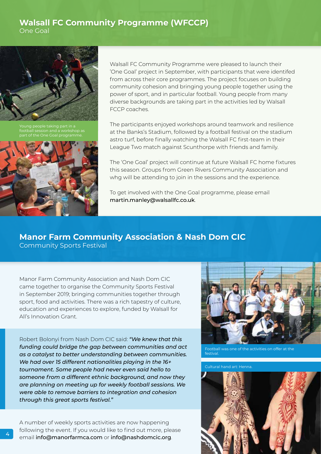## **Walsall FC Community Programme (WFCCP)** One Goal



Young people taking part in a football session and a workshop as part of the One Goal programme.



Walsall FC Community Programme were pleased to launch their 'One Goal' project in September, with participants that were identifed from across their core programmes. The project focuses on building community cohesion and bringing young people together using the power of sport, and in particular football. Young people from many diverse backgrounds are taking part in the activities led by Walsall FCCP coaches.

The participants enjoyed workshops around teamwork and resilience at the Banks's Stadium, followed by a football festival on the stadium astro turf, before finally watching the Walsall FC first-team in their League Two match against Scunthorpe with friends and family.

The 'One Goal' project will continue at future Walsall FC home fixtures this season. Groups from Green Rivers Community Association and whg will be attending to join in the sessions and the experience.

To get involved with the One Goal programme, please email martin.manley@walsallfc.co.uk.

# **Manor Farm Community Association & Nash Dom CIC**

Community Sports Festival

Manor Farm Community Association and Nash Dom CIC came together to organise the Community Sports Festival in September 2019; bringing communities together through sport, food and activities. There was a rich tapestry of culture, education and experiences to explore, funded by Walsall for All's Innovation Grant.

Robert Bolonyi from Nash Dom CIC said: *"We knew that this funding could bridge the gap between communities and act as a catalyst to better understanding between communities. We had over 15 different nationalities playing in the 16+ tournament. Some people had never even said hello to someone from a different ethnic background, and now they are planning on meeting up for weekly football sessions. We were able to remove barriers to integration and cohesion through this great sports festival."*

A number of weekly sports activities are now happening following the event. If you would like to find out more, please email info@manorfarmca.com or info@nashdomcic.org.



Football was one of the activities on offer at the **festival** 

Cultural hand art: Henna.

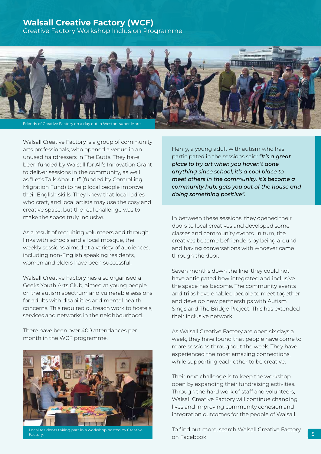# **Walsall Creative Factory (WCF)**

Creative Factory Workshop Inclusion Programme



Walsall Creative Factory is a group of community arts professionals, who opened a venue in an unused hairdressers in The Butts. They have been funded by Walsall for All's Innovation Grant to deliver sessions in the community, as well as "Let's Talk About It" (funded by Controlling Migration Fund) to help local people improve their English skills. They knew that local ladies who craft, and local artists may use the cosy and creative space, but the real challenge was to make the space truly inclusive.

As a result of recruiting volunteers and through links with schools and a local mosque, the weekly sessions aimed at a variety of audiences, including non-English speaking residents, women and elders have been successful.

Walsall Creative Factory has also organised a Geeks Youth Arts Club, aimed at young people on the autism spectrum and vulnerable sessions for adults with disabilities and mental health concerns. This required outreach work to hostels, services and networks in the neighbourhood.

There have been over 400 attendances per month in the WCF programme.



Local residents taking part in a workshop hosted by Creative Factory.

Henry, a young adult with autism who has participated in the sessions said: *"It's a great place to try art when you haven't done anything since school, it's a cool place to meet others in the community, it's become a community hub, gets you out of the house and doing something positive".*

In between these sessions, they opened their doors to local creatives and developed some classes and community events. In turn, the creatives became befrienders by being around and having conversations with whoever came through the door.

Seven months down the line, they could not have anticipated how integrated and inclusive the space has become. The community events and trips have enabled people to meet together and develop new partnerships with Autism Sings and The Bridge Project. This has extended their inclusive network.

As Walsall Creative Factory are open six days a week, they have found that people have come to more sessions throughout the week. They have experienced the most amazing connections, while supporting each other to be creative.

Their next challenge is to keep the workshop open by expanding their fundraising activities. Through the hard work of staff and volunteers, Walsall Creative Factory will continue changing lives and improving community cohesion and integration outcomes for the people of Walsall.

To find out more, search Walsall Creative Factory on Facebook.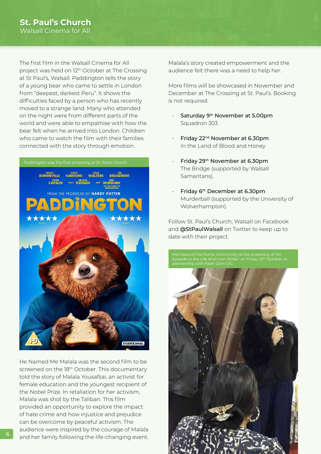The first film in the Walsall Cinema for All project was held on 12th October at The Crossing at St Paul's, Walsall. Paddington tells the story of a young bear who came to settle in London from "deepest, darkest Peru". It shows the difficulties faced by a person who has recently moved to a strange land. Many who attended on the night were from different parts of the world and were able to empathise with how the bear felt when he arrived into London. Children who came to watch the film with their families connected with the story through emotion.



He Named Me Malala was the second film to be screened on the 18<sup>th</sup> October. This documentary told the story of Malala Yousafzai, an activist for female education and the youngest recipient of the Nobel Prize. In retaliation for her activism, Malala was shot by the Taliban. This film provided an opportunity to explore the impact of hate crime and how injustice and prejudice can be overcome by peaceful activism. The audience were inspired by the courage of Malala and her family following the life-changing event. Malala's story created empowerment and the audience felt there was a need to help her.

More films will be showcased in November and December at The Crossing at St. Paul's. Booking is not required:

- Saturday 9th November at 5.00pm Squadron 303 -
- Friday 22<sup>nd</sup> November at 6.30pm In the Land of Blood and Honey
- Friday 29th November at 6.30pm The Bridge (supported by Walsall Samaritans).
- Friday 6th December at 6.30pm Murderball (supported by the University of Wolverhampton). -

Follow St. Paul's Church, Walsall on Facebook and @StPaulWalsall on Twitter to keep up to date with their project.

Members of the Roma community at the screening of 'An Episode in the Life of an Iron Picker' on Friday 25th October, in partnership with Nash Dom CIC.

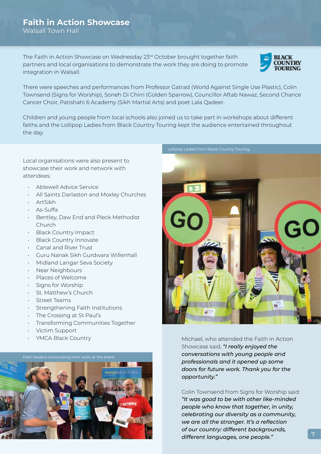# **Faith in Action Showcase** Walsall Town Hall

The Faith in Action Showcase on Wednesday 23rd October brought together faith partners and local organisations to demonstrate the work they are doing to promote integration in Walsall.



There were speeches and performances from Professor Gatrad (World Against Single Use Plastic), Colin Townsend (Signs for Worship), Soneh Di Chirri (Golden Sparrow), Councillor Aftab Nawaz, Second Chance Cancer Choir, Patishahi 6 Academy (Sikh Martial Arts) and poet Lala Qadeer.

Children and young people from local schools also joined us to take part in workshops about different faiths and the Lollipop Ladies from Black Country Touring kept the audience entertained throughout the day.

Local organisations were also present to showcase their work and network with attendees:

- Ablewell Advice Service •
- All Saints Darlaston and Moxley Churches •
- ArtSikh •
- As-Suffa •
- Bentley, Daw End and Pleck Methodist Church •
- Black Country Impact
- Black Country Innovate
- Canal and River Trust •
- Guru Nanak Sikh Gurdwara Willenhall •
- Midland Langar Seva Society
- Near Neighbours
- Places of Welcome
- Signs for Worship
- St. Matthew's Church
- Street Teams •
- Strengthening Faith Institutions
- The Crossing at St Paul's •
- Transforming Communities Together •
- Victim Support •
- YMCA Black Country •





Michael, who attended the Faith in Action Showcase said, *"I really enjoyed the conversations with young people and professionals and it opened up some doors for future work. Thank you for the opportunity."*

Colin Townsend from Signs for Worship said: *"It was good to be with other like-minded people who know that together, in unity, celebrating our diversity as a community, we are all the stronger. It's a reflection of our country: different backgrounds, different languages, one people."* <sup>7</sup>